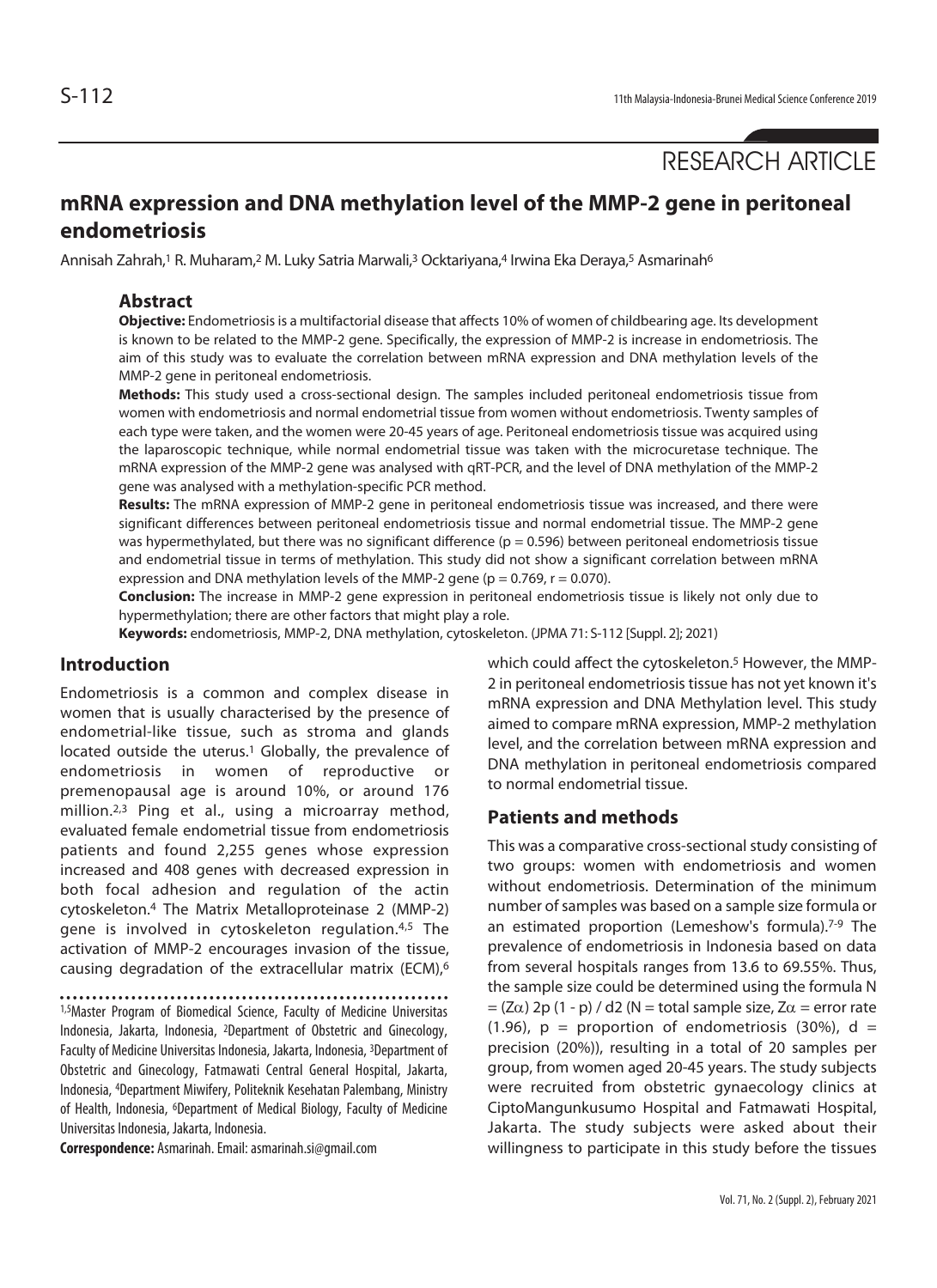# RESEARCH ARTICLE

# **mRNA expression and DNA methylation level of the MMP-2 gene in peritoneal endometriosis**

Annisah Zahrah,<sup>1</sup> R. Muharam,<sup>2</sup> M. Luky Satria Marwali,<sup>3</sup> Ocktariyana,<sup>4</sup> Irwina Eka Deraya,<sup>5</sup> Asmarinah<sup>6</sup>

#### **Abstract**

**Objective:** Endometriosis is a multifactorial disease that affects 10% of women of childbearing age. Its development is known to be related to the MMP-2 gene. Specifically, the expression of MMP-2 is increase in endometriosis. The aim of this study was to evaluate the correlation between mRNA expression and DNA methylation levels of the MMP-2 gene in peritoneal endometriosis.

**Methods:** This study used a cross-sectional design. The samples included peritoneal endometriosis tissue from women with endometriosis and normal endometrial tissue from women without endometriosis. Twenty samples of each type were taken, and the women were 20-45 years of age. Peritoneal endometriosis tissue was acquired using the laparoscopic technique, while normal endometrial tissue was taken with the microcuretase technique. The mRNA expression of the MMP-2 gene was analysed with qRT-PCR, and the level of DNA methylation of the MMP-2 gene was analysed with a methylation-specific PCR method.

**Results:** The mRNA expression of MMP-2 gene in peritoneal endometriosis tissue was increased, and there were significant differences between peritoneal endometriosis tissue and normal endometrial tissue. The MMP-2 gene was hypermethylated, but there was no significant difference ( $p = 0.596$ ) between peritoneal endometriosis tissue and endometrial tissue in terms of methylation. This study did not show a significant correlation between mRNA expression and DNA methylation levels of the MMP-2 gene ( $p = 0.769$ ,  $r = 0.070$ ).

**Conclusion:** The increase in MMP-2 gene expression in peritoneal endometriosis tissue is likely not only due to hypermethylation; there are other factors that might play a role.

**Keywords:** endometriosis, MMP-2, DNA methylation, cytoskeleton. (JPMA 71: S-112 [Suppl. 2]; 2021)

# **Introduction**

Endometriosis is a common and complex disease in women that is usually characterised by the presence of endometrial-like tissue, such as stroma and glands located outside the uterus.<sup>1</sup> Globally, the prevalence of endometriosis in women of reproductive or premenopausal age is around 10%, or around 176 million.2,3 Ping et al., using a microarray method, evaluated female endometrial tissue from endometriosis patients and found 2,255 genes whose expression increased and 408 genes with decreased expression in both focal adhesion and regulation of the actin cytoskeleton.4 The Matrix Metalloproteinase 2 (MMP-2) gene is involved in cytoskeleton regulation.<sup>4,5</sup> The activation of MMP-2 encourages invasion of the tissue, causing degradation of the extracellular matrix (ECM),6

1,5Master Program of Biomedical Science, Faculty of Medicine Universitas Indonesia, Jakarta, Indonesia, 2Department of Obstetric and Ginecology, Faculty of Medicine Universitas Indonesia, Jakarta, Indonesia, 3Department of Obstetric and Ginecology, Fatmawati Central General Hospital, Jakarta, Indonesia, 4Department Miwifery, Politeknik Kesehatan Palembang, Ministry of Health, Indonesia, <sup>6</sup>Department of Medical Biology, Faculty of Medicine Universitas Indonesia, Jakarta, Indonesia.

**Correspondence:** Asmarinah. Email: asmarinah.si@gmail.com

which could affect the cytoskeleton.<sup>5</sup> However, the MMP-2 in peritoneal endometriosis tissue has not yet known it's mRNA expression and DNA Methylation level. This study aimed to compare mRNA expression, MMP-2 methylation level, and the correlation between mRNA expression and DNA methylation in peritoneal endometriosis compared to normal endometrial tissue.

#### **Patients and methods**

This was a comparative cross-sectional study consisting of two groups: women with endometriosis and women without endometriosis. Determination of the minimum number of samples was based on a sample size formula or an estimated proportion (Lemeshow's formula).7-9 The prevalence of endometriosis in Indonesia based on data from several hospitals ranges from 13.6 to 69.55%. Thus, the sample size could be determined using the formula N  $=$  (Z $\alpha$ ) 2p (1 - p) / d2 (N = total sample size, Z $\alpha$  = error rate (1.96),  $p =$  proportion of endometriosis (30%),  $d =$ precision (20%)), resulting in a total of 20 samples per group, from women aged 20-45 years. The study subjects were recruited from obstetric gynaecology clinics at CiptoMangunkusumo Hospital and Fatmawati Hospital, Jakarta. The study subjects were asked about their willingness to participate in this study before the tissues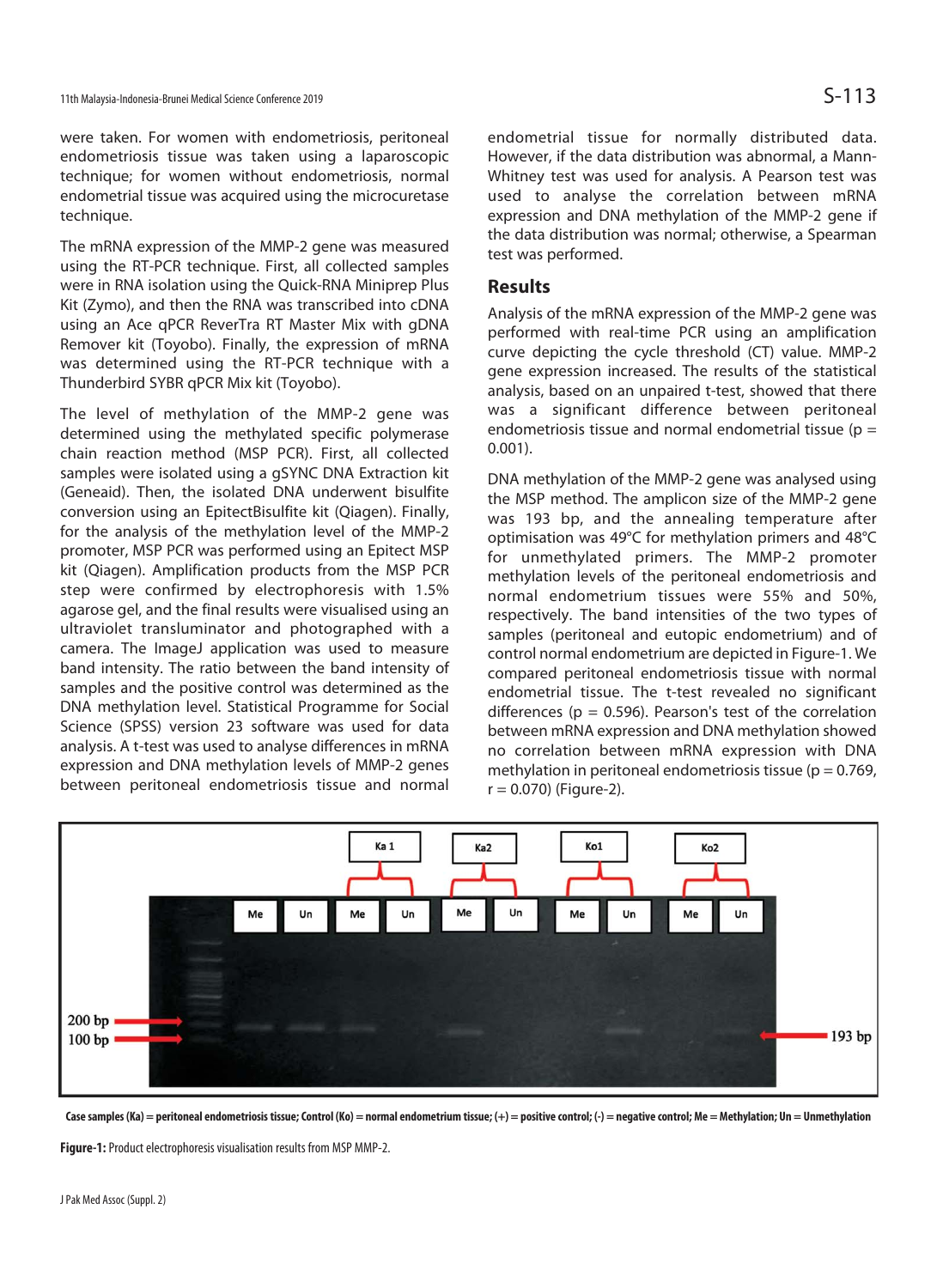were taken. For women with endometriosis, peritoneal endometriosis tissue was taken using a laparoscopic technique; for women without endometriosis, normal endometrial tissue was acquired using the microcuretase technique.

The mRNA expression of the MMP-2 gene was measured using the RT-PCR technique. First, all collected samples were in RNA isolation using the Quick-RNA Miniprep Plus Kit (Zymo), and then the RNA was transcribed into cDNA using an Ace qPCR ReverTra RT Master Mix with gDNA Remover kit (Toyobo). Finally, the expression of mRNA was determined using the RT-PCR technique with a Thunderbird SYBR qPCR Mix kit (Toyobo).

The level of methylation of the MMP-2 gene was determined using the methylated specific polymerase chain reaction method (MSP PCR). First, all collected samples were isolated using a gSYNC DNA Extraction kit (Geneaid). Then, the isolated DNA underwent bisulfite conversion using an EpitectBisulfite kit (Qiagen). Finally, for the analysis of the methylation level of the MMP-2 promoter, MSP PCR was performed using an Epitect MSP kit (Qiagen). Amplification products from the MSP PCR step were confirmed by electrophoresis with 1.5% agarose gel, and the final results were visualised using an ultraviolet transluminator and photographed with a camera. The ImageJ application was used to measure band intensity. The ratio between the band intensity of samples and the positive control was determined as the DNA methylation level. Statistical Programme for Social Science (SPSS) version 23 software was used for data analysis. A t-test was used to analyse differences in mRNA expression and DNA methylation levels of MMP-2 genes between peritoneal endometriosis tissue and normal

endometrial tissue for normally distributed data. However, if the data distribution was abnormal, a Mann-Whitney test was used for analysis. A Pearson test was used to analyse the correlation between mRNA expression and DNA methylation of the MMP-2 gene if the data distribution was normal; otherwise, a Spearman test was performed.

#### **Results**

Analysis of the mRNA expression of the MMP-2 gene was performed with real-time PCR using an amplification curve depicting the cycle threshold (CT) value. MMP-2 gene expression increased. The results of the statistical analysis, based on an unpaired t-test, showed that there was a significant difference between peritoneal endometriosis tissue and normal endometrial tissue ( $p =$ 0.001).

DNA methylation of the MMP-2 gene was analysed using the MSP method. The amplicon size of the MMP-2 gene was 193 bp, and the annealing temperature after optimisation was 49°C for methylation primers and 48°C for unmethylated primers. The MMP-2 promoter methylation levels of the peritoneal endometriosis and normal endometrium tissues were 55% and 50%, respectively. The band intensities of the two types of samples (peritoneal and eutopic endometrium) and of control normal endometrium are depicted in Figure-1. We compared peritoneal endometriosis tissue with normal endometrial tissue. The t-test revealed no significant differences ( $p = 0.596$ ). Pearson's test of the correlation between mRNA expression and DNA methylation showed no correlation between mRNA expression with DNA methylation in peritoneal endometriosis tissue ( $p = 0.769$ ,  $r = 0.070$ ) (Figure-2).



Case samples (Ka) = peritoneal endometriosis tissue; Control (Ko) = normal endometrium tissue; (+) = positive control; (-) = negative control; Me = Methylation; Un = Unmethylation

**Figure-1:** Product electrophoresis visualisation results from MSP MMP-2.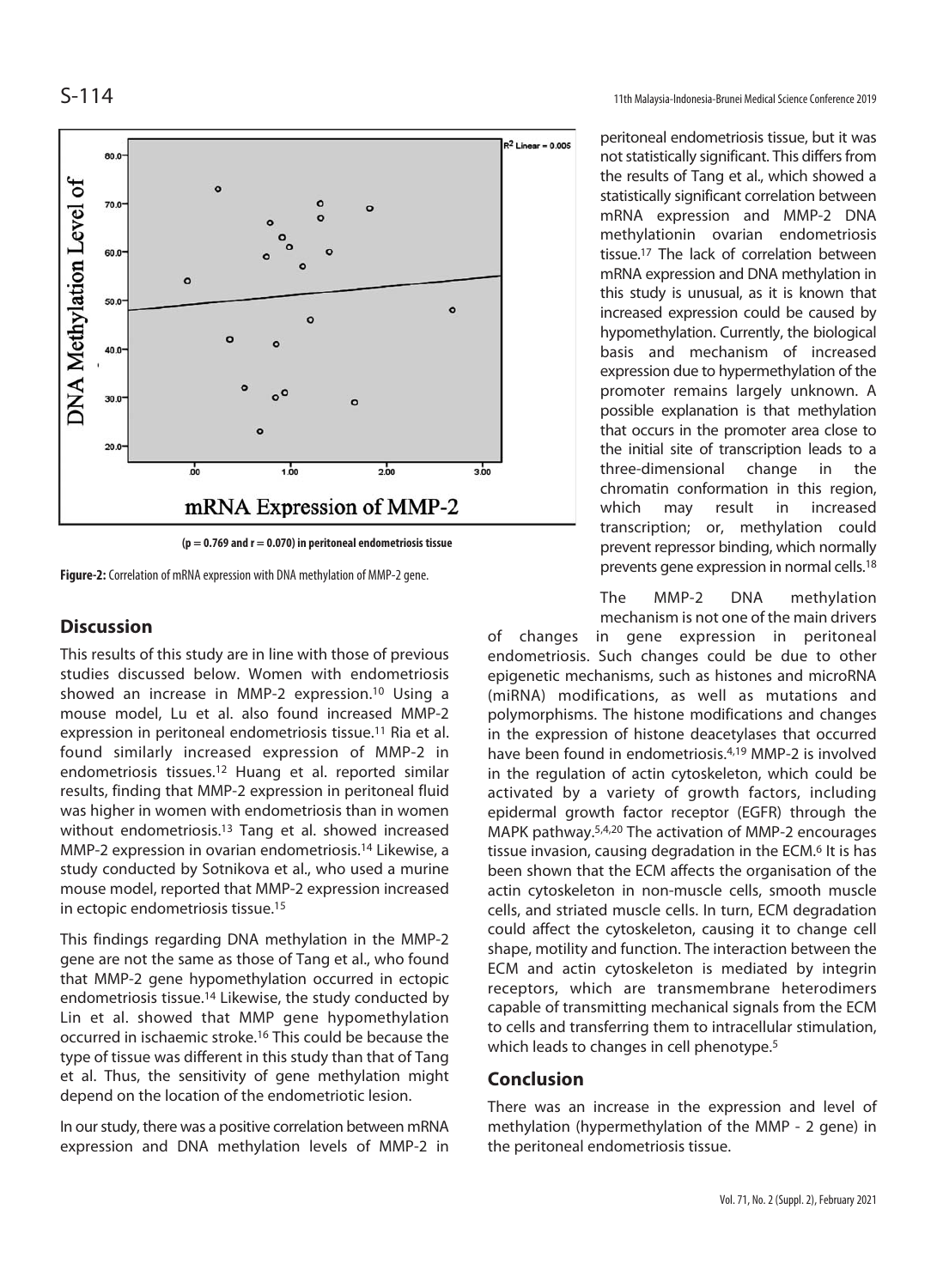

**Figure-2:** Correlation of mRNA expression with DNA methylation of MMP-2 gene.

## **Discussion**

This results of this study are in line with those of previous studies discussed below. Women with endometriosis showed an increase in MMP-2 expression.<sup>10</sup> Using a mouse model, Lu et al. also found increased MMP-2 expression in peritoneal endometriosis tissue.11 Ria et al. found similarly increased expression of MMP-2 in endometriosis tissues.12 Huang et al. reported similar results, finding that MMP-2 expression in peritoneal fluid was higher in women with endometriosis than in women without endometriosis.<sup>13</sup> Tang et al. showed increased MMP-2 expression in ovarian endometriosis.14 Likewise, a study conducted by Sotnikova et al., who used a murine mouse model, reported that MMP-2 expression increased in ectopic endometriosis tissue.15

This findings regarding DNA methylation in the MMP-2 gene are not the same as those of Tang et al., who found that MMP-2 gene hypomethylation occurred in ectopic endometriosis tissue.14 Likewise, the study conducted by Lin et al. showed that MMP gene hypomethylation occurred in ischaemic stroke.16 This could be because the type of tissue was different in this study than that of Tang et al. Thus, the sensitivity of gene methylation might depend on the location of the endometriotic lesion.

In our study, there was a positive correlation between mRNA expression and DNA methylation levels of MMP-2 in

S-114 11th Malaysia-Indonesia-Brunei Medical Science Conference 2019

peritoneal endometriosis tissue, but it was not statistically significant. This differs from the results of Tang et al., which showed a statistically significant correlation between mRNA expression and MMP-2 DNA methylationin ovarian endometriosis tissue.17 The lack of correlation between mRNA expression and DNA methylation in this study is unusual, as it is known that increased expression could be caused by hypomethylation. Currently, the biological basis and mechanism of increased expression due to hypermethylation of the promoter remains largely unknown. A possible explanation is that methylation that occurs in the promoter area close to the initial site of transcription leads to a three-dimensional change in the chromatin conformation in this region, which may result in increased transcription; or, methylation could prevent repressor binding, which normally prevents gene expression in normal cells.18

The MMP-2 DNA methylation mechanism is not one of the main drivers

of changes in gene expression in peritoneal endometriosis. Such changes could be due to other epigenetic mechanisms, such as histones and microRNA (miRNA) modifications, as well as mutations and polymorphisms. The histone modifications and changes in the expression of histone deacetylases that occurred have been found in endometriosis.4,19 MMP-2 is involved in the regulation of actin cytoskeleton, which could be activated by a variety of growth factors, including epidermal growth factor receptor (EGFR) through the MAPK pathway.5,4,20 The activation of MMP-2 encourages tissue invasion, causing degradation in the ECM.6 It is has been shown that the ECM affects the organisation of the actin cytoskeleton in non-muscle cells, smooth muscle cells, and striated muscle cells. In turn, ECM degradation could affect the cytoskeleton, causing it to change cell shape, motility and function. The interaction between the ECM and actin cytoskeleton is mediated by integrin receptors, which are transmembrane heterodimers capable of transmitting mechanical signals from the ECM to cells and transferring them to intracellular stimulation, which leads to changes in cell phenotype.<sup>5</sup>

### **Conclusion**

There was an increase in the expression and level of methylation (hypermethylation of the MMP - 2 gene) in the peritoneal endometriosis tissue.